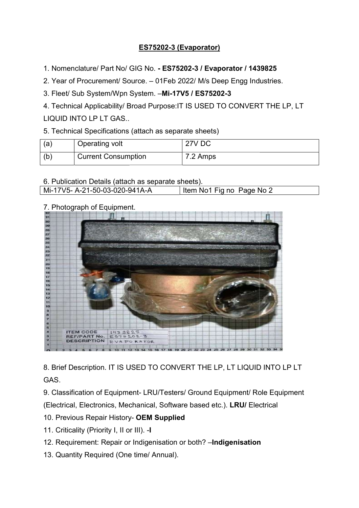## ES75202-3 (Evaporator)

1. Nomenclature/ Part No/ GIG No. - ES75202-3 / Evaporator / 1439825

2. Year of Procurement/ Source. – 01Feb 2022/ M/s Deep Engg Industries.

3. Fleet/ Sub System/Wpn System. . Fleet/ Sub System. –Mi-17V5 / ES75202-3

4. Technical Applicability/ Broad Purpose:IT IS USED TO CONVERT THE LP, LT LIQUID INTO LP LT GAS..

| 5. Technical Specifications (attach as separate sheets) |                            |          |  |
|---------------------------------------------------------|----------------------------|----------|--|
| (a)                                                     | Operating volt             | 27V DC   |  |
| (b)                                                     | <b>Current Consumption</b> | 7.2 Amps |  |

| 6. Publication Details (attach as separate sheets). |                           |
|-----------------------------------------------------|---------------------------|
| Mi-17V5- A-21-50-03-020-941A-A                      | Item No1 Fig no Page No 2 |

## 7. Photograph of Equipment.



8. Brief Description. IT IS USED TO CONVERT THE LP, LT LIQUID INTO LP LT GAS.

9. Classification of Equipment- LRU/Testers/ Ground Equipment/ Role Equipment (Electrical, Electronics, Mechanical, Software based etc.). LRU/ Electrical

- 10. Previous Repair History- OEM Supplied
- 11. Criticality (Priority I, II or III). -I
- 12. Requirement: Repair or Indigenisation or both? Indigenisation
- 13. Quantity Required (One time/ Annual).